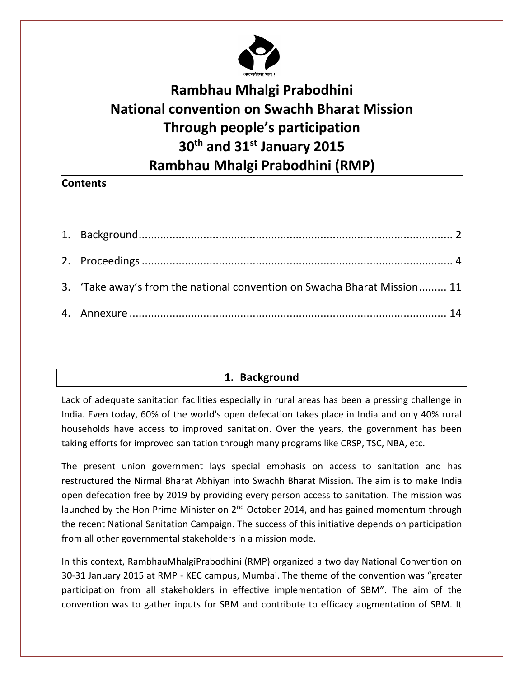

# **Rambhau Mhalgi Prabodhini National convention on Swachh Bharat Mission Through people's participation 30th and 31st January 2015 Rambhau Mhalgi Prabodhini (RMP)**

# **Contents**

| 3. 'Take away's from the national convention on Swacha Bharat Mission 11 |  |
|--------------------------------------------------------------------------|--|
|                                                                          |  |

# **1. Background**

<span id="page-0-0"></span>Lack of adequate sanitation facilities especially in rural areas has been a pressing challenge in India. Even today, 60% of the world's open defecation takes place in India and only 40% rural households have access to improved sanitation. Over the years, the government has been taking efforts for improved sanitation through many programs like CRSP, TSC, NBA, etc.

The present union government lays special emphasis on access to sanitation and has restructured the Nirmal Bharat Abhiyan into Swachh Bharat Mission. The aim is to make India open defecation free by 2019 by providing every person access to sanitation. The mission was launched by the Hon Prime Minister on  $2<sup>nd</sup>$  October 2014, and has gained momentum through the recent National Sanitation Campaign. The success of this initiative depends on participation from all other governmental stakeholders in a mission mode.

In this context, RambhauMhalgiPrabodhini (RMP) organized a two day National Convention on 30-31 January 2015 at RMP - KEC campus, Mumbai. The theme of the convention was "greater participation from all stakeholders in effective implementation of SBM". The aim of the convention was to gather inputs for SBM and contribute to efficacy augmentation of SBM. It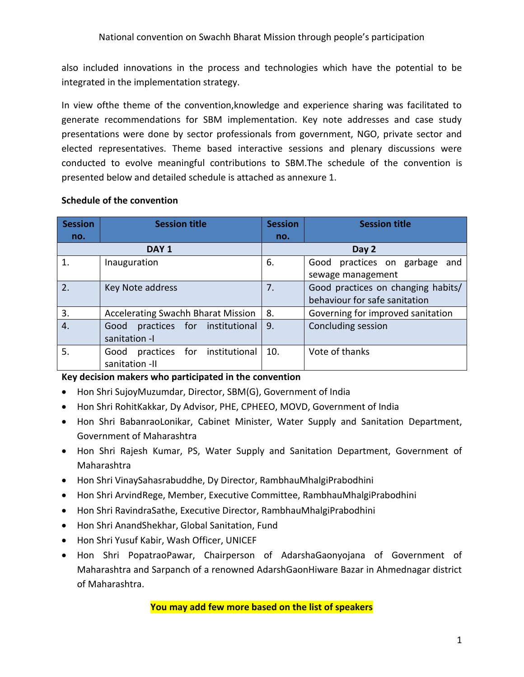also included innovations in the process and technologies which have the potential to be integrated in the implementation strategy.

In view ofthe theme of the convention,knowledge and experience sharing was facilitated to generate recommendations for SBM implementation. Key note addresses and case study presentations were done by sector professionals from government, NGO, private sector and elected representatives. Theme based interactive sessions and plenary discussions were conducted to evolve meaningful contributions to SBM.The schedule of the convention is presented below and detailed schedule is attached as annexure 1.

| <b>Session</b> | <b>Session title</b>                      | <b>Session</b> | <b>Session title</b>                |
|----------------|-------------------------------------------|----------------|-------------------------------------|
| no.            |                                           | no.            |                                     |
|                | DAY <sub>1</sub>                          |                | Day 2                               |
| 1.             | Inauguration                              | 6.             | practices on garbage<br>Good<br>and |
|                |                                           |                | sewage management                   |
| 2.             | Key Note address                          | 7.             | Good practices on changing habits/  |
|                |                                           |                | behaviour for safe sanitation       |
| 3.             | <b>Accelerating Swachh Bharat Mission</b> | 8.             | Governing for improved sanitation   |
| $\overline{4}$ | practices for institutional<br>Good       | 9.             | Concluding session                  |
|                | sanitation -                              |                |                                     |
| 5.             | for institutional<br>practices<br>Good    | 10.            | Vote of thanks                      |
|                | sanitation -II                            |                |                                     |

#### **Schedule of the convention**

# **Key decision makers who participated in the convention**

- Hon Shri SujoyMuzumdar, Director, SBM(G), Government of India
- Hon Shri RohitKakkar, Dy Advisor, PHE, CPHEEO, MOVD, Government of India
- Hon Shri BabanraoLonikar, Cabinet Minister, Water Supply and Sanitation Department, Government of Maharashtra
- Hon Shri Rajesh Kumar, PS, Water Supply and Sanitation Department, Government of Maharashtra
- Hon Shri VinaySahasrabuddhe, Dy Director, RambhauMhalgiPrabodhini
- Hon Shri ArvindRege, Member, Executive Committee, RambhauMhalgiPrabodhini
- Hon Shri RavindraSathe, Executive Director, RambhauMhalgiPrabodhini
- Hon Shri AnandShekhar, Global Sanitation, Fund
- Hon Shri Yusuf Kabir, Wash Officer, UNICEF
- Hon Shri PopatraoPawar, Chairperson of AdarshaGaonyojana of Government of Maharashtra and Sarpanch of a renowned AdarshGaonHiware Bazar in Ahmednagar district of Maharashtra.

#### **You may add few more based on the list of speakers**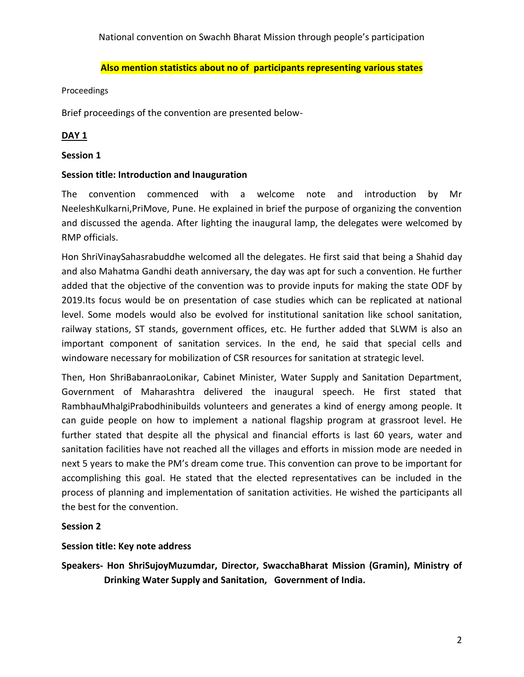National convention on Swachh Bharat Mission through people's participation

#### **Also mention statistics about no of participants representing various states**

#### <span id="page-2-0"></span>Proceedings

Brief proceedings of the convention are presented below-

#### **DAY 1**

#### **Session 1**

#### **Session title: Introduction and Inauguration**

The convention commenced with a welcome note and introduction by Mr NeeleshKulkarni,PriMove, Pune. He explained in brief the purpose of organizing the convention and discussed the agenda. After lighting the inaugural lamp, the delegates were welcomed by RMP officials.

Hon ShriVinaySahasrabuddhe welcomed all the delegates. He first said that being a Shahid day and also Mahatma Gandhi death anniversary, the day was apt for such a convention. He further added that the objective of the convention was to provide inputs for making the state ODF by 2019.Its focus would be on presentation of case studies which can be replicated at national level. Some models would also be evolved for institutional sanitation like school sanitation, railway stations, ST stands, government offices, etc. He further added that SLWM is also an important component of sanitation services. In the end, he said that special cells and windoware necessary for mobilization of CSR resources for sanitation at strategic level.

Then, Hon ShriBabanraoLonikar, Cabinet Minister, Water Supply and Sanitation Department, Government of Maharashtra delivered the inaugural speech. He first stated that RambhauMhalgiPrabodhinibuilds volunteers and generates a kind of energy among people. It can guide people on how to implement a national flagship program at grassroot level. He further stated that despite all the physical and financial efforts is last 60 years, water and sanitation facilities have not reached all the villages and efforts in mission mode are needed in next 5 years to make the PM's dream come true. This convention can prove to be important for accomplishing this goal. He stated that the elected representatives can be included in the process of planning and implementation of sanitation activities. He wished the participants all the best for the convention.

#### **Session 2**

#### **Session title: Key note address**

**Speakers- Hon ShriSujoyMuzumdar, Director, SwacchaBharat Mission (Gramin), Ministry of Drinking Water Supply and Sanitation, Government of India.**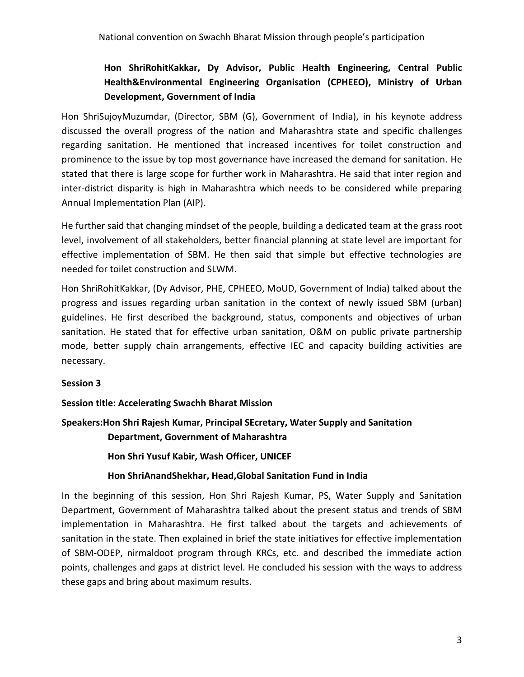# **Hon ShriRohitKakkar, Dy Advisor, Public Health Engineering, Central Public Health&Environmental Engineering Organisation (CPHEEO), Ministry of Urban Development, Government of India**

Hon ShriSujoyMuzumdar, (Director, SBM (G), Government of India), in his keynote address discussed the overall progress of the nation and Maharashtra state and specific challenges regarding sanitation. He mentioned that increased incentives for toilet construction and prominence to the issue by top most governance have increased the demand for sanitation. He stated that there is large scope for further work in Maharashtra. He said that inter region and inter-district disparity is high in Maharashtra which needs to be considered while preparing Annual Implementation Plan (AIP).

He further said that changing mindset of the people, building a dedicated team at the grass root level, involvement of all stakeholders, better financial planning at state level are important for effective implementation of SBM. He then said that simple but effective technologies are needed for toilet construction and SLWM.

Hon ShriRohitKakkar, (Dy Advisor, PHE, CPHEEO, MoUD, Government of India) talked about the progress and issues regarding urban sanitation in the context of newly issued SBM (urban) guidelines. He first described the background, status, components and objectives of urban sanitation. He stated that for effective urban sanitation, O&M on public private partnership mode, better supply chain arrangements, effective IEC and capacity building activities are necessary.

# **Session 3**

#### **Session title: Accelerating Swachh Bharat Mission**

# **Speakers:Hon Shri Rajesh Kumar, Principal SEcretary, Water Supply and Sanitation Department, Government of Maharashtra**

**Hon Shri Yusuf Kabir, Wash Officer, UNICEF**

#### **Hon ShriAnandShekhar, Head,Global Sanitation Fund in India**

In the beginning of this session, Hon Shri Rajesh Kumar, PS, Water Supply and Sanitation Department, Government of Maharashtra talked about the present status and trends of SBM implementation in Maharashtra. He first talked about the targets and achievements of sanitation in the state. Then explained in brief the state initiatives for effective implementation of SBM-ODEP, nirmaldoot program through KRCs, etc. and described the immediate action points, challenges and gaps at district level. He concluded his session with the ways to address these gaps and bring about maximum results.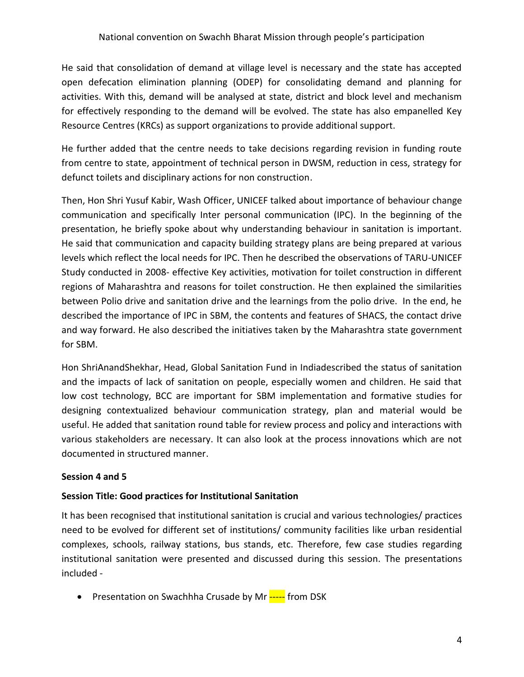He said that consolidation of demand at village level is necessary and the state has accepted open defecation elimination planning (ODEP) for consolidating demand and planning for activities. With this, demand will be analysed at state, district and block level and mechanism for effectively responding to the demand will be evolved. The state has also empanelled Key Resource Centres (KRCs) as support organizations to provide additional support.

He further added that the centre needs to take decisions regarding revision in funding route from centre to state, appointment of technical person in DWSM, reduction in cess, strategy for defunct toilets and disciplinary actions for non construction.

Then, Hon Shri Yusuf Kabir, Wash Officer, UNICEF talked about importance of behaviour change communication and specifically Inter personal communication (IPC). In the beginning of the presentation, he briefly spoke about why understanding behaviour in sanitation is important. He said that communication and capacity building strategy plans are being prepared at various levels which reflect the local needs for IPC. Then he described the observations of TARU-UNICEF Study conducted in 2008- effective Key activities, motivation for toilet construction in different regions of Maharashtra and reasons for toilet construction. He then explained the similarities between Polio drive and sanitation drive and the learnings from the polio drive. In the end, he described the importance of IPC in SBM, the contents and features of SHACS, the contact drive and way forward. He also described the initiatives taken by the Maharashtra state government for SBM.

Hon ShriAnandShekhar, Head, Global Sanitation Fund in Indiadescribed the status of sanitation and the impacts of lack of sanitation on people, especially women and children. He said that low cost technology, BCC are important for SBM implementation and formative studies for designing contextualized behaviour communication strategy, plan and material would be useful. He added that sanitation round table for review process and policy and interactions with various stakeholders are necessary. It can also look at the process innovations which are not documented in structured manner.

# **Session 4 and 5**

# **Session Title: Good practices for Institutional Sanitation**

It has been recognised that institutional sanitation is crucial and various technologies/ practices need to be evolved for different set of institutions/ community facilities like urban residential complexes, schools, railway stations, bus stands, etc. Therefore, few case studies regarding institutional sanitation were presented and discussed during this session. The presentations included -

Presentation on Swachhha Crusade by Mr ----- from DSK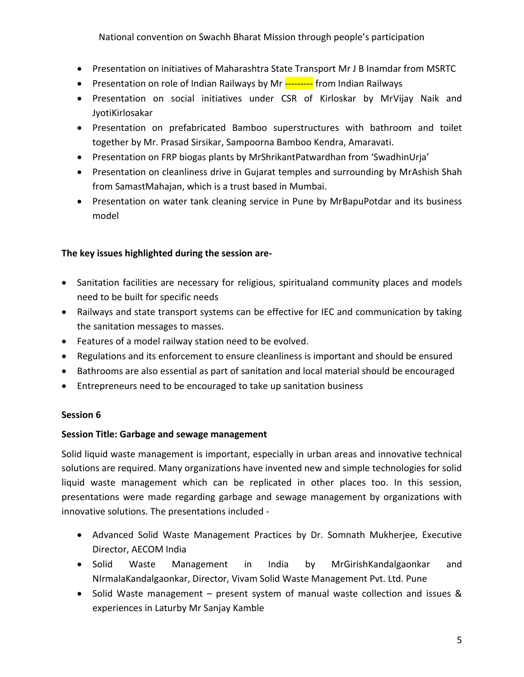National convention on Swachh Bharat Mission through people's participation

- Presentation on initiatives of Maharashtra State Transport Mr J B Inamdar from MSRTC
- Presentation on role of Indian Railways by Mr --------- from Indian Railways
- Presentation on social initiatives under CSR of Kirloskar by MrVijay Naik and JyotiKirlosakar
- Presentation on prefabricated Bamboo superstructures with bathroom and toilet together by Mr. Prasad Sirsikar, Sampoorna Bamboo Kendra, Amaravati.
- Presentation on FRP biogas plants by MrShrikantPatwardhan from 'SwadhinUrja'
- Presentation on cleanliness drive in Gujarat temples and surrounding by MrAshish Shah from SamastMahajan, which is a trust based in Mumbai.
- Presentation on water tank cleaning service in Pune by MrBapuPotdar and its business model

# **The key issues highlighted during the session are-**

- Sanitation facilities are necessary for religious, spiritualand community places and models need to be built for specific needs
- Railways and state transport systems can be effective for IEC and communication by taking the sanitation messages to masses.
- Features of a model railway station need to be evolved.
- Regulations and its enforcement to ensure cleanliness is important and should be ensured
- Bathrooms are also essential as part of sanitation and local material should be encouraged
- Entrepreneurs need to be encouraged to take up sanitation business

# **Session 6**

# **Session Title: Garbage and sewage management**

Solid liquid waste management is important, especially in urban areas and innovative technical solutions are required. Many organizations have invented new and simple technologies for solid liquid waste management which can be replicated in other places too. In this session, presentations were made regarding garbage and sewage management by organizations with innovative solutions. The presentations included -

- Advanced Solid Waste Management Practices by Dr. Somnath Mukherjee, Executive Director, AECOM India
- Solid Waste Management in India by MrGirishKandalgaonkar and NIrmalaKandalgaonkar, Director, Vivam Solid Waste Management Pvt. Ltd. Pune
- Solid Waste management present system of manual waste collection and issues & experiences in Laturby Mr Sanjay Kamble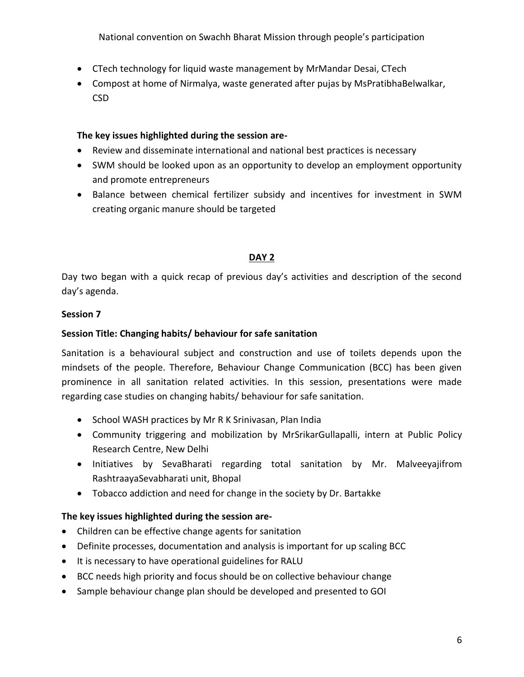National convention on Swachh Bharat Mission through people's participation

- CTech technology for liquid waste management by MrMandar Desai, CTech
- Compost at home of Nirmalya, waste generated after pujas by MsPratibhaBelwalkar, CSD

#### **The key issues highlighted during the session are-**

- Review and disseminate international and national best practices is necessary
- SWM should be looked upon as an opportunity to develop an employment opportunity and promote entrepreneurs
- Balance between chemical fertilizer subsidy and incentives for investment in SWM creating organic manure should be targeted

# **DAY 2**

Day two began with a quick recap of previous day's activities and description of the second day's agenda.

#### **Session 7**

# **Session Title: Changing habits/ behaviour for safe sanitation**

Sanitation is a behavioural subject and construction and use of toilets depends upon the mindsets of the people. Therefore, Behaviour Change Communication (BCC) has been given prominence in all sanitation related activities. In this session, presentations were made regarding case studies on changing habits/ behaviour for safe sanitation.

- School WASH practices by Mr R K Srinivasan, Plan India
- Community triggering and mobilization by MrSrikarGullapalli, intern at Public Policy Research Centre, New Delhi
- Initiatives by SevaBharati regarding total sanitation by Mr. Malveeyajifrom RashtraayaSevabharati unit, Bhopal
- Tobacco addiction and need for change in the society by Dr. Bartakke

# **The key issues highlighted during the session are-**

- Children can be effective change agents for sanitation
- Definite processes, documentation and analysis is important for up scaling BCC
- It is necessary to have operational guidelines for RALU
- BCC needs high priority and focus should be on collective behaviour change
- Sample behaviour change plan should be developed and presented to GOI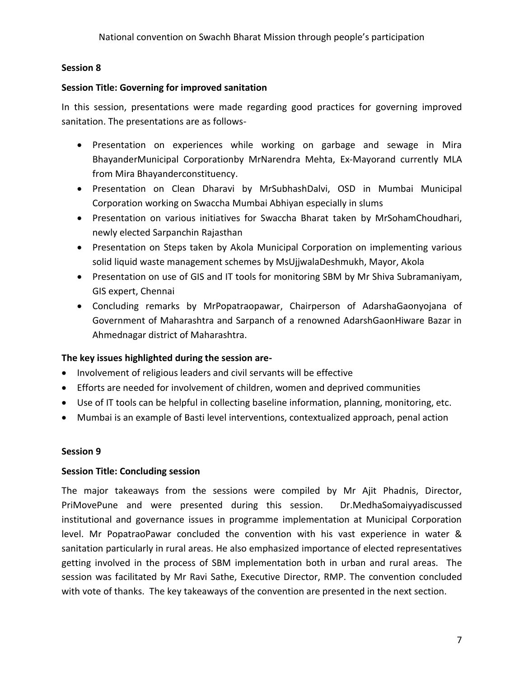# **Session 8**

#### **Session Title: Governing for improved sanitation**

In this session, presentations were made regarding good practices for governing improved sanitation. The presentations are as follows-

- Presentation on experiences while working on garbage and sewage in Mira BhayanderMunicipal Corporationby MrNarendra Mehta, Ex-Mayorand currently MLA from Mira Bhayanderconstituency.
- Presentation on Clean Dharavi by MrSubhashDalvi, OSD in Mumbai Municipal Corporation working on Swaccha Mumbai Abhiyan especially in slums
- Presentation on various initiatives for Swaccha Bharat taken by MrSohamChoudhari, newly elected Sarpanchin Rajasthan
- Presentation on Steps taken by Akola Municipal Corporation on implementing various solid liquid waste management schemes by MsUjjwalaDeshmukh, Mayor, Akola
- Presentation on use of GIS and IT tools for monitoring SBM by Mr Shiva Subramaniyam, GIS expert, Chennai
- Concluding remarks by MrPopatraopawar, Chairperson of AdarshaGaonyojana of Government of Maharashtra and Sarpanch of a renowned AdarshGaonHiware Bazar in Ahmednagar district of Maharashtra.

# **The key issues highlighted during the session are-**

- Involvement of religious leaders and civil servants will be effective
- Efforts are needed for involvement of children, women and deprived communities
- Use of IT tools can be helpful in collecting baseline information, planning, monitoring, etc.
- Mumbai is an example of Basti level interventions, contextualized approach, penal action

# **Session 9**

# **Session Title: Concluding session**

The major takeaways from the sessions were compiled by Mr Ajit Phadnis, Director, PriMovePune and were presented during this session. Dr.MedhaSomaiyyadiscussed institutional and governance issues in programme implementation at Municipal Corporation level. Mr PopatraoPawar concluded the convention with his vast experience in water & sanitation particularly in rural areas. He also emphasized importance of elected representatives getting involved in the process of SBM implementation both in urban and rural areas. The session was facilitated by Mr Ravi Sathe, Executive Director, RMP. The convention concluded with vote of thanks. The key takeaways of the convention are presented in the next section.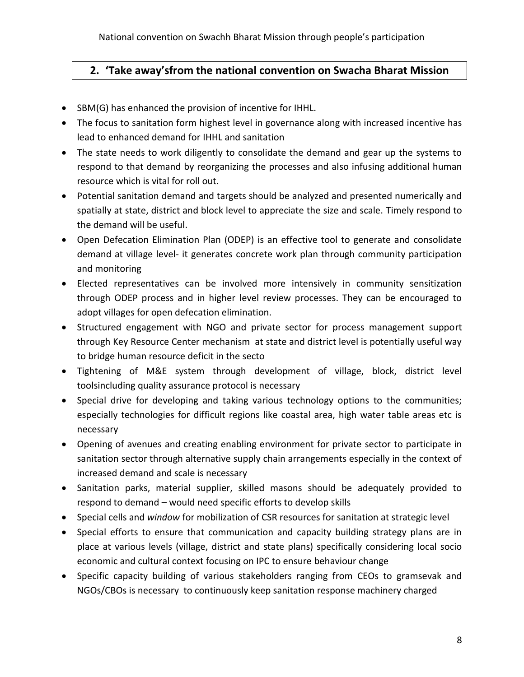# <span id="page-8-0"></span>**2. 'Take away'sfrom the national convention on Swacha Bharat Mission**

- SBM(G) has enhanced the provision of incentive for IHHL.
- The focus to sanitation form highest level in governance along with increased incentive has lead to enhanced demand for IHHL and sanitation
- The state needs to work diligently to consolidate the demand and gear up the systems to respond to that demand by reorganizing the processes and also infusing additional human resource which is vital for roll out.
- Potential sanitation demand and targets should be analyzed and presented numerically and spatially at state, district and block level to appreciate the size and scale. Timely respond to the demand will be useful.
- Open Defecation Elimination Plan (ODEP) is an effective tool to generate and consolidate demand at village level- it generates concrete work plan through community participation and monitoring
- Elected representatives can be involved more intensively in community sensitization through ODEP process and in higher level review processes. They can be encouraged to adopt villages for open defecation elimination.
- Structured engagement with NGO and private sector for process management support through Key Resource Center mechanism at state and district level is potentially useful way to bridge human resource deficit in the secto
- Tightening of M&E system through development of village, block, district level toolsincluding quality assurance protocol is necessary
- Special drive for developing and taking various technology options to the communities; especially technologies for difficult regions like coastal area, high water table areas etc is necessary
- Opening of avenues and creating enabling environment for private sector to participate in sanitation sector through alternative supply chain arrangements especially in the context of increased demand and scale is necessary
- Sanitation parks, material supplier, skilled masons should be adequately provided to respond to demand – would need specific efforts to develop skills
- Special cells and *window* for mobilization of CSR resources for sanitation at strategic level
- Special efforts to ensure that communication and capacity building strategy plans are in place at various levels (village, district and state plans) specifically considering local socio economic and cultural context focusing on IPC to ensure behaviour change
- Specific capacity building of various stakeholders ranging from CEOs to gramsevak and NGOs/CBOs is necessary to continuously keep sanitation response machinery charged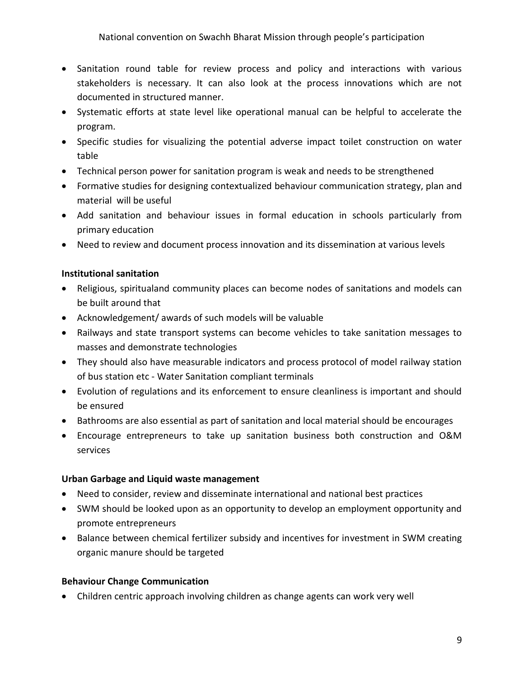- Sanitation round table for review process and policy and interactions with various stakeholders is necessary. It can also look at the process innovations which are not documented in structured manner.
- Systematic efforts at state level like operational manual can be helpful to accelerate the program.
- Specific studies for visualizing the potential adverse impact toilet construction on water table
- Technical person power for sanitation program is weak and needs to be strengthened
- Formative studies for designing contextualized behaviour communication strategy, plan and material will be useful
- Add sanitation and behaviour issues in formal education in schools particularly from primary education
- Need to review and document process innovation and its dissemination at various levels

# **Institutional sanitation**

- Religious, spiritualand community places can become nodes of sanitations and models can be built around that
- Acknowledgement/ awards of such models will be valuable
- Railways and state transport systems can become vehicles to take sanitation messages to masses and demonstrate technologies
- They should also have measurable indicators and process protocol of model railway station of bus station etc - Water Sanitation compliant terminals
- Evolution of regulations and its enforcement to ensure cleanliness is important and should be ensured
- Bathrooms are also essential as part of sanitation and local material should be encourages
- Encourage entrepreneurs to take up sanitation business both construction and O&M services

# **Urban Garbage and Liquid waste management**

- Need to consider, review and disseminate international and national best practices
- SWM should be looked upon as an opportunity to develop an employment opportunity and promote entrepreneurs
- Balance between chemical fertilizer subsidy and incentives for investment in SWM creating organic manure should be targeted

# **Behaviour Change Communication**

Children centric approach involving children as change agents can work very well